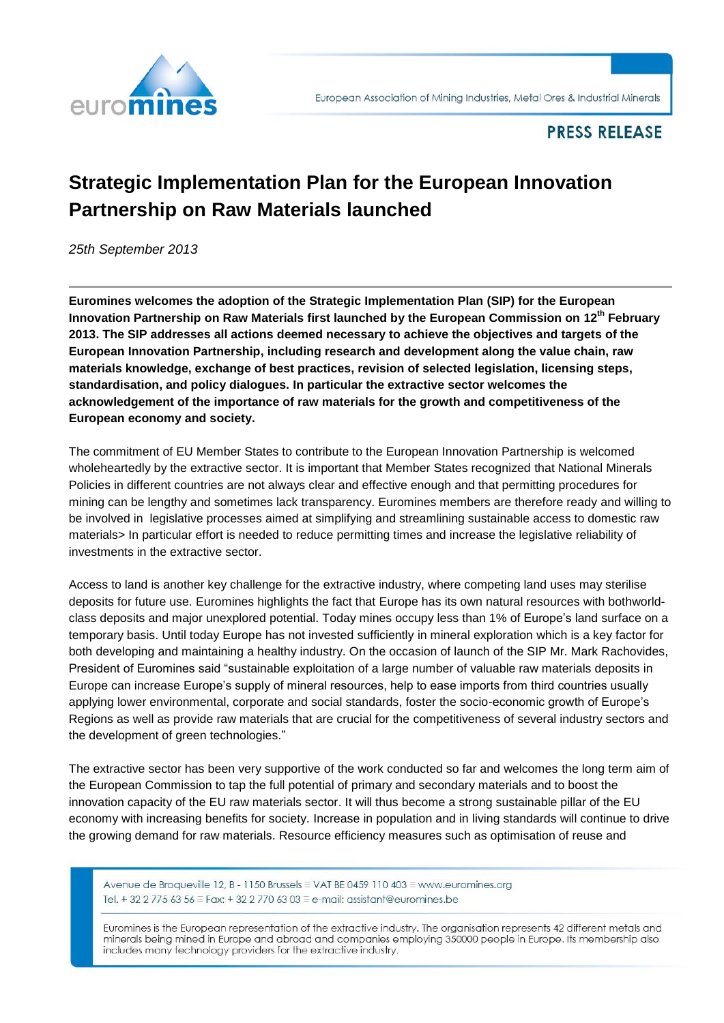

## **PRESS RELEASE**

## **Strategic Implementation Plan for the European Innovation Partnership on Raw Materials launched**

*25th September 2013*

**Euromines welcomes the adoption of the Strategic Implementation Plan (SIP) for the European Innovation Partnership on Raw Materials first launched by the European Commission on 12th February 2013. The SIP addresses all actions deemed necessary to achieve the objectives and targets of the European Innovation Partnership, including research and development along the value chain, raw materials knowledge, exchange of best practices, revision of selected legislation, licensing steps, standardisation, and policy dialogues. In particular the extractive sector welcomes the acknowledgement of the importance of raw materials for the growth and competitiveness of the European economy and society.**

The commitment of EU Member States to contribute to the European Innovation Partnership is welcomed wholeheartedly by the extractive sector. It is important that Member States recognized that National Minerals Policies in different countries are not always clear and effective enough and that permitting procedures for mining can be lengthy and sometimes lack transparency. Euromines members are therefore ready and willing to be involved in legislative processes aimed at simplifying and streamlining sustainable access to domestic raw materials> In particular effort is needed to reduce permitting times and increase the legislative reliability of investments in the extractive sector.

Access to land is another key challenge for the extractive industry, where competing land uses may sterilise deposits for future use. Euromines highlights the fact that Europe has its own natural resources with bothworldclass deposits and major unexplored potential. Today mines occupy less than 1% of Europe's land surface on a temporary basis. Until today Europe has not invested sufficiently in mineral exploration which is a key factor for both developing and maintaining a healthy industry. On the occasion of launch of the SIP Mr. Mark Rachovides, President of Euromines said "sustainable exploitation of a large number of valuable raw materials deposits in Europe can increase Europe's supply of mineral resources, help to ease imports from third countries usually applying lower environmental, corporate and social standards, foster the socio-economic growth of Europe's Regions as well as provide raw materials that are crucial for the competitiveness of several industry sectors and the development of green technologies."

The extractive sector has been very supportive of the work conducted so far and welcomes the long term aim of the European Commission to tap the full potential of primary and secondary materials and to boost the innovation capacity of the EU raw materials sector. It will thus become a strong sustainable pillar of the EU economy with increasing benefits for society. Increase in population and in living standards will continue to drive the growing demand for raw materials. Resource efficiency measures such as optimisation of reuse and

Avenue de Broqueville 12, B - 1150 Brussels ≡ VAT BE 0459 110 403 ≡ www.euromines.org Tel. + 32 2 775 63 56 = Fax: + 32 2 770 63 03 = e-mail: assistant@euromines.be

Euromines is the European representation of the extractive industry. The organisation represents 42 different metals and minerals being mined in Europe and abroad and companies employing 350000 people in Europe. Its membership also includes many technology providers for the extractive industry.